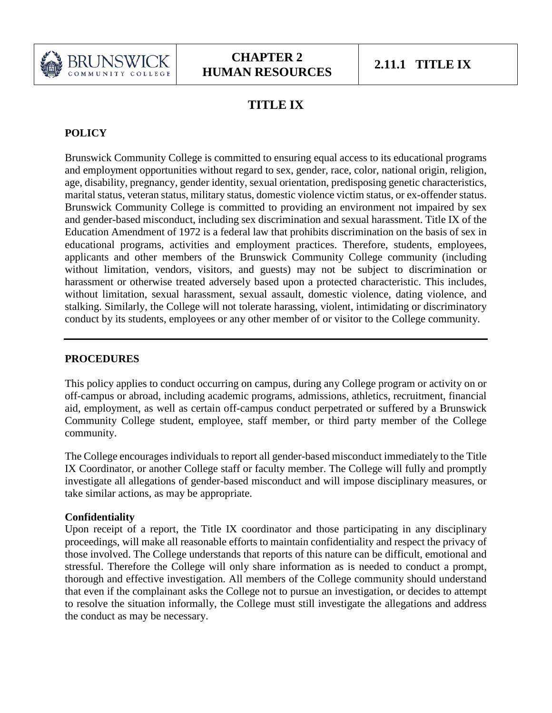

# **TITLE IX**

## **POLICY**

Brunswick Community College is committed to ensuring equal access to its educational programs and employment opportunities without regard to sex, gender, race, color, national origin, religion, age, disability, pregnancy, gender identity, sexual orientation, predisposing genetic characteristics, marital status, veteran status, military status, domestic violence victim status, or ex-offender status. Brunswick Community College is committed to providing an environment not impaired by sex and gender-based misconduct, including sex discrimination and sexual harassment. Title IX of the Education Amendment of 1972 is a federal law that prohibits discrimination on the basis of sex in educational programs, activities and employment practices. Therefore, students, employees, applicants and other members of the Brunswick Community College community (including without limitation, vendors, visitors, and guests) may not be subject to discrimination or harassment or otherwise treated adversely based upon a protected characteristic. This includes, without limitation, sexual harassment, sexual assault, domestic violence, dating violence, and stalking. Similarly, the College will not tolerate harassing, violent, intimidating or discriminatory conduct by its students, employees or any other member of or visitor to the College community.

## **PROCEDURES**

This policy applies to conduct occurring on campus, during any College program or activity on or off-campus or abroad, including academic programs, admissions, athletics, recruitment, financial aid, employment, as well as certain off-campus conduct perpetrated or suffered by a Brunswick Community College student, employee, staff member, or third party member of the College community.

The College encourages individuals to report all gender-based misconduct immediately to the Title IX Coordinator, or another College staff or faculty member. The College will fully and promptly investigate all allegations of gender-based misconduct and will impose disciplinary measures, or take similar actions, as may be appropriate.

### **Confidentiality**

Upon receipt of a report, the Title IX coordinator and those participating in any disciplinary proceedings, will make all reasonable efforts to maintain confidentiality and respect the privacy of those involved. The College understands that reports of this nature can be difficult, emotional and stressful. Therefore the College will only share information as is needed to conduct a prompt, thorough and effective investigation. All members of the College community should understand that even if the complainant asks the College not to pursue an investigation, or decides to attempt to resolve the situation informally, the College must still investigate the allegations and address the conduct as may be necessary.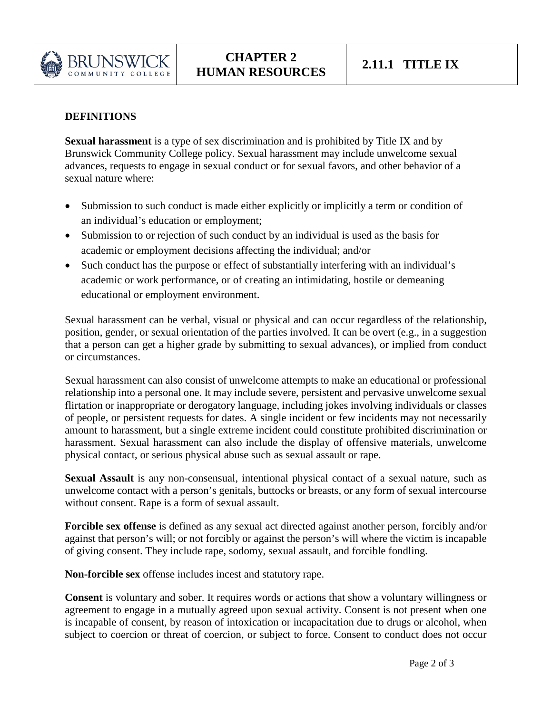

### **DEFINITIONS**

**Sexual harassment** is a type of sex discrimination and is prohibited by Title IX and by Brunswick Community College policy. Sexual harassment may include unwelcome sexual advances, requests to engage in sexual conduct or for sexual favors, and other behavior of a sexual nature where:

- Submission to such conduct is made either explicitly or implicitly a term or condition of an individual's education or employment;
- Submission to or rejection of such conduct by an individual is used as the basis for academic or employment decisions affecting the individual; and/or
- Such conduct has the purpose or effect of substantially interfering with an individual's academic or work performance, or of creating an intimidating, hostile or demeaning educational or employment environment.

Sexual harassment can be verbal, visual or physical and can occur regardless of the relationship, position, gender, or sexual orientation of the parties involved. It can be overt (e.g., in a suggestion that a person can get a higher grade by submitting to sexual advances), or implied from conduct or circumstances.

Sexual harassment can also consist of unwelcome attempts to make an educational or professional relationship into a personal one. It may include severe, persistent and pervasive unwelcome sexual flirtation or inappropriate or derogatory language, including jokes involving individuals or classes of people, or persistent requests for dates. A single incident or few incidents may not necessarily amount to harassment, but a single extreme incident could constitute prohibited discrimination or harassment. Sexual harassment can also include the display of offensive materials, unwelcome physical contact, or serious physical abuse such as sexual assault or rape.

**Sexual Assault** is any non-consensual, intentional physical contact of a sexual nature, such as unwelcome contact with a person's genitals, buttocks or breasts, or any form of sexual intercourse without consent. Rape is a form of sexual assault.

**Forcible sex offense** is defined as any sexual act directed against another person, forcibly and/or against that person's will; or not forcibly or against the person's will where the victim is incapable of giving consent. They include rape, sodomy, sexual assault, and forcible fondling.

**Non-forcible sex** offense includes incest and statutory rape.

**Consent** is voluntary and sober. It requires words or actions that show a voluntary willingness or agreement to engage in a mutually agreed upon sexual activity. Consent is not present when one is incapable of consent, by reason of intoxication or incapacitation due to drugs or alcohol, when subject to coercion or threat of coercion, or subject to force. Consent to conduct does not occur